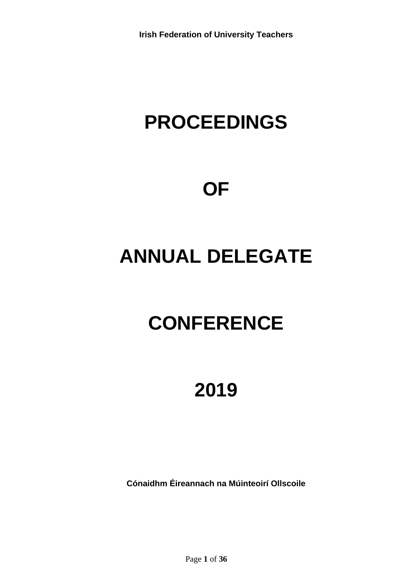## **PROCEEDINGS**

## **OF**

## **ANNUAL DELEGATE**

# **CONFERENCE**

## **2019**

**Cónaidhm Éireannach na Múinteoirí Ollscoile**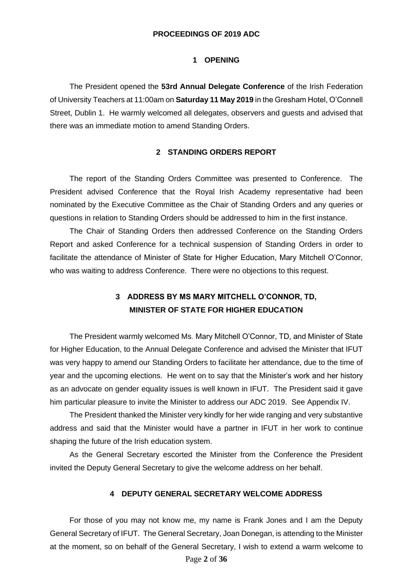## **PROCEEDINGS OF 2019 ADC**

## **1 OPENING**

The President opened the **53rd Annual Delegate Conference** of the Irish Federation of University Teachers at 11:00am on **Saturday 11 May 2019** in the Gresham Hotel, O'Connell Street, Dublin 1. He warmly welcomed all delegates, observers and guests and advised that there was an immediate motion to amend Standing Orders.

## **2 STANDING ORDERS REPORT**

The report of the Standing Orders Committee was presented to Conference. The President advised Conference that the Royal Irish Academy representative had been nominated by the Executive Committee as the Chair of Standing Orders and any queries or questions in relation to Standing Orders should be addressed to him in the first instance.

The Chair of Standing Orders then addressed Conference on the Standing Orders Report and asked Conference for a technical suspension of Standing Orders in order to facilitate the attendance of Minister of State for Higher Education, Mary Mitchell O'Connor, who was waiting to address Conference. There were no objections to this request.

## **3 ADDRESS BY MS MARY MITCHELL O'CONNOR, TD, MINISTER OF STATE FOR HIGHER EDUCATION**

The President warmly welcomed Ms. Mary Mitchell O'Connor, TD, and Minister of State for Higher Education, to the Annual Delegate Conference and advised the Minister that IFUT was very happy to amend our Standing Orders to facilitate her attendance, due to the time of year and the upcoming elections. He went on to say that the Minister's work and her history as an advocate on gender equality issues is well known in IFUT. The President said it gave him particular pleasure to invite the Minister to address our ADC 2019. See Appendix IV.

The President thanked the Minister very kindly for her wide ranging and very substantive address and said that the Minister would have a partner in IFUT in her work to continue shaping the future of the Irish education system.

As the General Secretary escorted the Minister from the Conference the President invited the Deputy General Secretary to give the welcome address on her behalf.

#### **4 DEPUTY GENERAL SECRETARY WELCOME ADDRESS**

For those of you may not know me, my name is Frank Jones and I am the Deputy General Secretary of IFUT. The General Secretary, Joan Donegan, is attending to the Minister at the moment, so on behalf of the General Secretary, I wish to extend a warm welcome to

Page **2** of **36**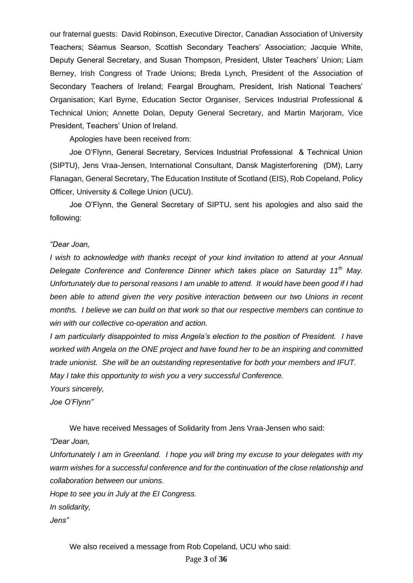our fraternal guests: David Robinson, Executive Director, Canadian Association of University Teachers; Séamus Searson, Scottish Secondary Teachers' Association; Jacquie White, Deputy General Secretary, and Susan Thompson, President, Ulster Teachers' Union; Liam Berney, Irish Congress of Trade Unions; Breda Lynch, President of the Association of Secondary Teachers of Ireland; Feargal Brougham, President, Irish National Teachers' Organisation; Karl Byrne, Education Sector Organiser, Services Industrial Professional & Technical Union; Annette Dolan, Deputy General Secretary, and Martin Marjoram, Vice President, Teachers' Union of Ireland.

Apologies have been received from:

Joe O'Flynn, General Secretary, Services Industrial Professional & Technical Union (SIPTU), Jens Vraa-Jensen, International Consultant, Dansk Magisterforening (DM), Larry Flanagan, General Secretary, The Education Institute of Scotland (EIS), Rob Copeland, Policy Officer, University & College Union (UCU).

Joe O'Flynn, the General Secretary of SIPTU, sent his apologies and also said the following:

### *"Dear Joan,*

*I* wish to acknowledge with thanks receipt of your kind invitation to attend at your Annual *Delegate Conference and Conference Dinner which takes place on Saturday 11th May. Unfortunately due to personal reasons I am unable to attend. It would have been good if I had been able to attend given the very positive interaction between our two Unions in recent months. I believe we can build on that work so that our respective members can continue to win with our collective co-operation and action.*

*I am particularly disappointed to miss Angela's election to the position of President. I have worked with Angela on the ONE project and have found her to be an inspiring and committed trade unionist. She will be an outstanding representative for both your members and IFUT. May I take this opportunity to wish you a very successful Conference.*

*Yours sincerely,*

*Joe O'Flynn"*

We have received Messages of Solidarity from Jens Vraa-Jensen who said:

## *"Dear Joan,*

*Unfortunately I am in Greenland. I hope you will bring my excuse to your delegates with my warm wishes for a successful conference and for the continuation of the close relationship and collaboration between our unions.*

*Hope to see you in July at the EI Congress.*

*In solidarity,*

*Jens"*

We also received a message from Rob Copeland, UCU who said: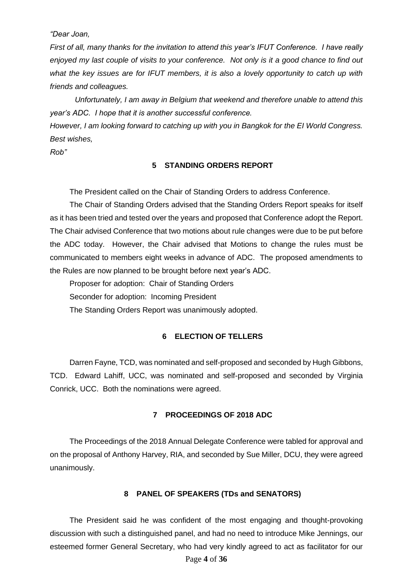*"Dear Joan,*

*First of all, many thanks for the invitation to attend this year's IFUT Conference. I have really enjoyed my last couple of visits to your conference. Not only is it a good chance to find out what the key issues are for IFUT members, it is also a lovely opportunity to catch up with friends and colleagues.*

*Unfortunately, I am away in Belgium that weekend and therefore unable to attend this year's ADC. I hope that it is another successful conference.*

*However, I am looking forward to catching up with you in Bangkok for the EI World Congress. Best wishes,*

*Rob"*

### **5 STANDING ORDERS REPORT**

The President called on the Chair of Standing Orders to address Conference.

The Chair of Standing Orders advised that the Standing Orders Report speaks for itself as it has been tried and tested over the years and proposed that Conference adopt the Report. The Chair advised Conference that two motions about rule changes were due to be put before the ADC today. However, the Chair advised that Motions to change the rules must be communicated to members eight weeks in advance of ADC. The proposed amendments to the Rules are now planned to be brought before next year's ADC.

Proposer for adoption: Chair of Standing Orders Seconder for adoption: Incoming President The Standing Orders Report was unanimously adopted.

### **6 ELECTION OF TELLERS**

Darren Fayne, TCD, was nominated and self-proposed and seconded by Hugh Gibbons, TCD. Edward Lahiff, UCC, was nominated and self-proposed and seconded by Virginia Conrick, UCC. Both the nominations were agreed.

## **7 PROCEEDINGS OF 2018 ADC**

The Proceedings of the 2018 Annual Delegate Conference were tabled for approval and on the proposal of Anthony Harvey, RIA, and seconded by Sue Miller, DCU, they were agreed unanimously.

## **8 PANEL OF SPEAKERS (TDs and SENATORS)**

The President said he was confident of the most engaging and thought-provoking discussion with such a distinguished panel, and had no need to introduce Mike Jennings, our esteemed former General Secretary, who had very kindly agreed to act as facilitator for our

Page **4** of **36**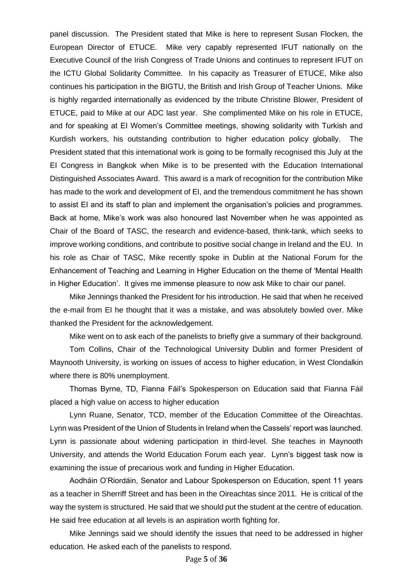panel discussion. The President stated that Mike is here to represent Susan Flocken, the European Director of ETUCE. Mike very capably represented IFUT nationally on the Executive Council of the Irish Congress of Trade Unions and continues to represent IFUT on the ICTU Global Solidarity Committee. In his capacity as Treasurer of ETUCE, Mike also continues his participation in the BIGTU, the British and Irish Group of Teacher Unions. Mike is highly regarded internationally as evidenced by the tribute Christine Blower, President of ETUCE, paid to Mike at our ADC last year. She complimented Mike on his role in ETUCE, and for speaking at EI Women's Committee meetings, showing solidarity with Turkish and Kurdish workers, his outstanding contribution to higher education policy globally. The President stated that this international work is going to be formally recognised this July at the EI Congress in Bangkok when Mike is to be presented with the Education International Distinguished Associates Award. This award is a mark of recognition for the contribution Mike has made to the work and development of EI, and the tremendous commitment he has shown to assist EI and its staff to plan and implement the organisation's policies and programmes. Back at home, Mike's work was also honoured last November when he was appointed as Chair of the Board of TASC, the research and evidence-based, think-tank, which seeks to improve working conditions, and contribute to positive social change in Ireland and the EU. In his role as Chair of TASC, Mike recently spoke in Dublin at the National Forum for the Enhancement of Teaching and Learning in Higher Education on the theme of 'Mental Health in Higher Education'. It gives me immense pleasure to now ask Mike to chair our panel.

Mike Jennings thanked the President for his introduction. He said that when he received the e-mail from EI he thought that it was a mistake, and was absolutely bowled over. Mike thanked the President for the acknowledgement.

Mike went on to ask each of the panelists to briefly give a summary of their background.

Tom Collins, Chair of the Technological University Dublin and former President of Maynooth University, is working on issues of access to higher education, in West Clondalkin where there is 80% unemployment.

Thomas Byrne, TD, Fianna Fáil's Spokesperson on Education said that Fianna Fáil placed a high value on access to higher education

Lynn Ruane, Senator, TCD, member of the Education Committee of the Oireachtas. Lynn was President of the Union of Students in Ireland when the Cassels' report was launched. Lynn is passionate about widening participation in third-level. She teaches in Maynooth University, and attends the World Education Forum each year. Lynn's biggest task now is examining the issue of precarious work and funding in Higher Education.

Aodháin O'Riordáin, Senator and Labour Spokesperson on Education, spent 11 years as a teacher in Sherriff Street and has been in the Oireachtas since 2011. He is critical of the way the system is structured. He said that we should put the student at the centre of education. He said free education at all levels is an aspiration worth fighting for.

Mike Jennings said we should identify the issues that need to be addressed in higher education. He asked each of the panelists to respond.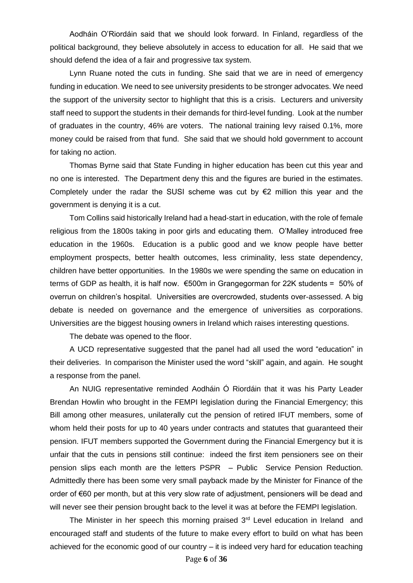Aodháin O'Riordáin said that we should look forward. In Finland, regardless of the political background, they believe absolutely in access to education for all. He said that we should defend the idea of a fair and progressive tax system.

Lynn Ruane noted the cuts in funding. She said that we are in need of emergency funding in education. We need to see university presidents to be stronger advocates. We need the support of the university sector to highlight that this is a crisis. Lecturers and university staff need to support the students in their demands for third-level funding. Look at the number of graduates in the country, 46% are voters. The national training levy raised 0.1%, more money could be raised from that fund. She said that we should hold government to account for taking no action.

Thomas Byrne said that State Funding in higher education has been cut this year and no one is interested. The Department deny this and the figures are buried in the estimates. Completely under the radar the SUSI scheme was cut by  $E$ 2 million this year and the government is denying it is a cut.

Tom Collins said historically Ireland had a head-start in education, with the role of female religious from the 1800s taking in poor girls and educating them. O'Malley introduced free education in the 1960s. Education is a public good and we know people have better employment prospects, better health outcomes, less criminality, less state dependency, children have better opportunities. In the 1980s we were spending the same on education in terms of GDP as health, it is half now. €500m in Grangegorman for 22K students = 50% of overrun on children's hospital. Universities are overcrowded, students over-assessed. A big debate is needed on governance and the emergence of universities as corporations. Universities are the biggest housing owners in Ireland which raises interesting questions.

The debate was opened to the floor.

A UCD representative suggested that the panel had all used the word "education" in their deliveries. In comparison the Minister used the word "skill" again, and again. He sought a response from the panel.

An NUIG representative reminded Aodháin Ó Riordáin that it was his Party Leader Brendan Howlin who brought in the FEMPI legislation during the Financial Emergency; this Bill among other measures, unilaterally cut the pension of retired IFUT members, some of whom held their posts for up to 40 years under contracts and statutes that guaranteed their pension. IFUT members supported the Government during the Financial Emergency but it is unfair that the cuts in pensions still continue: indeed the first item pensioners see on their pension slips each month are the letters PSPR – Public Service Pension Reduction. Admittedly there has been some very small payback made by the Minister for Finance of the order of €60 per month, but at this very slow rate of adjustment, pensioners will be dead and will never see their pension brought back to the level it was at before the FEMPI legislation.

The Minister in her speech this morning praised  $3<sup>rd</sup>$  Level education in Ireland and encouraged staff and students of the future to make every effort to build on what has been achieved for the economic good of our country – it is indeed very hard for education teaching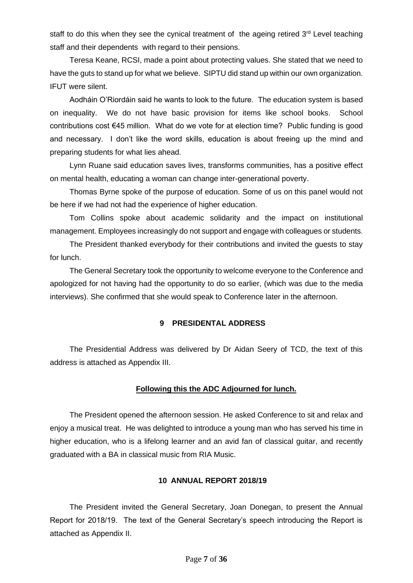staff to do this when they see the cynical treatment of the ageing retired  $3<sup>rd</sup>$  Level teaching staff and their dependents with regard to their pensions.

Teresa Keane, RCSI, made a point about protecting values. She stated that we need to have the guts to stand up for what we believe. SIPTU did stand up within our own organization. IFUT were silent.

Aodháin O'Riordáin said he wants to look to the future. The education system is based on inequality. We do not have basic provision for items like school books. School contributions cost €45 million. What do we vote for at election time? Public funding is good and necessary. I don't like the word skills, education is about freeing up the mind and preparing students for what lies ahead.

Lynn Ruane said education saves lives, transforms communities, has a positive effect on mental health, educating a woman can change inter-generational poverty.

Thomas Byrne spoke of the purpose of education. Some of us on this panel would not be here if we had not had the experience of higher education.

Tom Collins spoke about academic solidarity and the impact on institutional management. Employees increasingly do not support and engage with colleagues or students.

The President thanked everybody for their contributions and invited the guests to stay for lunch.

The General Secretary took the opportunity to welcome everyone to the Conference and apologized for not having had the opportunity to do so earlier, (which was due to the media interviews). She confirmed that she would speak to Conference later in the afternoon.

## **9 PRESIDENTAL ADDRESS**

The Presidential Address was delivered by Dr Aidan Seery of TCD, the text of this address is attached as Appendix III.

### **Following this the ADC Adjourned for lunch.**

The President opened the afternoon session. He asked Conference to sit and relax and enjoy a musical treat. He was delighted to introduce a young man who has served his time in higher education, who is a lifelong learner and an avid fan of classical guitar, and recently graduated with a BA in classical music from RIA Music.

## **10 ANNUAL REPORT 2018/19**

The President invited the General Secretary, Joan Donegan, to present the Annual Report for 2018/19. The text of the General Secretary's speech introducing the Report is attached as Appendix II.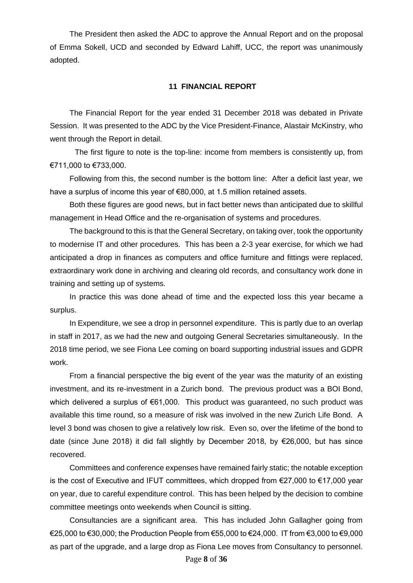The President then asked the ADC to approve the Annual Report and on the proposal of Emma Sokell, UCD and seconded by Edward Lahiff, UCC, the report was unanimously adopted.

#### **11 FINANCIAL REPORT**

The Financial Report for the year ended 31 December 2018 was debated in Private Session. It was presented to the ADC by the Vice President-Finance, Alastair McKinstry, who went through the Report in detail.

The first figure to note is the top-line: income from members is consistently up, from €711,000 to €733,000.

Following from this, the second number is the bottom line: After a deficit last year, we have a surplus of income this year of €80,000, at 1.5 million retained assets.

Both these figures are good news, but in fact better news than anticipated due to skillful management in Head Office and the re-organisation of systems and procedures.

The background to this is that the General Secretary, on taking over, took the opportunity to modernise IT and other procedures. This has been a 2-3 year exercise, for which we had anticipated a drop in finances as computers and office furniture and fittings were replaced, extraordinary work done in archiving and clearing old records, and consultancy work done in training and setting up of systems.

In practice this was done ahead of time and the expected loss this year became a surplus.

In Expenditure, we see a drop in personnel expenditure. This is partly due to an overlap in staff in 2017, as we had the new and outgoing General Secretaries simultaneously. In the 2018 time period, we see Fiona Lee coming on board supporting industrial issues and GDPR work.

From a financial perspective the big event of the year was the maturity of an existing investment, and its re-investment in a Zurich bond. The previous product was a BOI Bond, which delivered a surplus of €61,000. This product was guaranteed, no such product was available this time round, so a measure of risk was involved in the new Zurich Life Bond. A level 3 bond was chosen to give a relatively low risk. Even so, over the lifetime of the bond to date (since June 2018) it did fall slightly by December 2018, by €26,000, but has since recovered.

Committees and conference expenses have remained fairly static; the notable exception is the cost of Executive and IFUT committees, which dropped from €27,000 to €17,000 year on year, due to careful expenditure control. This has been helped by the decision to combine committee meetings onto weekends when Council is sitting.

Consultancies are a significant area. This has included John Gallagher going from €25,000 to €30,000; the Production People from €55,000 to €24,000. IT from €3,000 to €9,000 as part of the upgrade, and a large drop as Fiona Lee moves from Consultancy to personnel.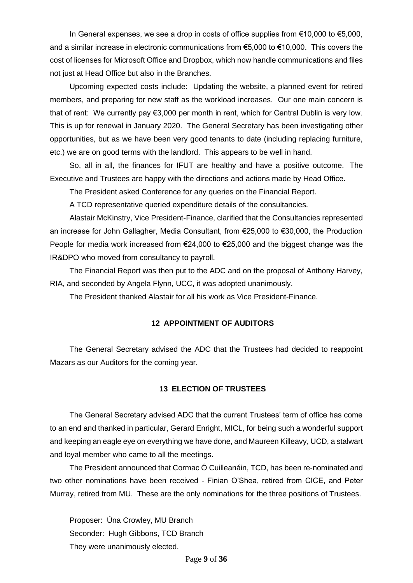In General expenses, we see a drop in costs of office supplies from €10,000 to €5,000, and a similar increase in electronic communications from €5,000 to €10,000. This covers the cost of licenses for Microsoft Office and Dropbox, which now handle communications and files not just at Head Office but also in the Branches.

Upcoming expected costs include: Updating the website, a planned event for retired members, and preparing for new staff as the workload increases. Our one main concern is that of rent: We currently pay €3,000 per month in rent, which for Central Dublin is very low. This is up for renewal in January 2020. The General Secretary has been investigating other opportunities, but as we have been very good tenants to date (including replacing furniture, etc.) we are on good terms with the landlord. This appears to be well in hand.

So, all in all, the finances for IFUT are healthy and have a positive outcome. The Executive and Trustees are happy with the directions and actions made by Head Office.

The President asked Conference for any queries on the Financial Report.

A TCD representative queried expenditure details of the consultancies.

Alastair McKinstry, Vice President-Finance, clarified that the Consultancies represented an increase for John Gallagher, Media Consultant, from €25,000 to €30,000, the Production People for media work increased from  $\epsilon$ 24,000 to  $\epsilon$ 25,000 and the biggest change was the IR&DPO who moved from consultancy to payroll.

The Financial Report was then put to the ADC and on the proposal of Anthony Harvey, RIA, and seconded by Angela Flynn, UCC, it was adopted unanimously.

The President thanked Alastair for all his work as Vice President-Finance.

## **12 APPOINTMENT OF AUDITORS**

The General Secretary advised the ADC that the Trustees had decided to reappoint Mazars as our Auditors for the coming year.

#### **13 ELECTION OF TRUSTEES**

The General Secretary advised ADC that the current Trustees' term of office has come to an end and thanked in particular, Gerard Enright, MICL, for being such a wonderful support and keeping an eagle eye on everything we have done, and Maureen Killeavy, UCD, a stalwart and loyal member who came to all the meetings.

The President announced that Cormac Ó Cuilleanáin, TCD, has been re-nominated and two other nominations have been received - Finian O'Shea, retired from CICE, and Peter Murray, retired from MU. These are the only nominations for the three positions of Trustees.

Proposer: Úna Crowley, MU Branch Seconder: Hugh Gibbons, TCD Branch They were unanimously elected.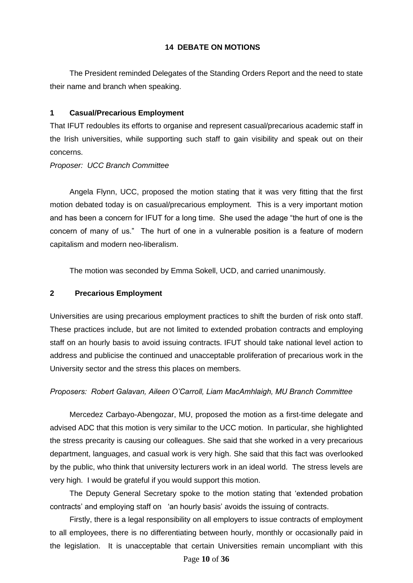## **14 DEBATE ON MOTIONS**

The President reminded Delegates of the Standing Orders Report and the need to state their name and branch when speaking.

## **1 Casual/Precarious Employment**

That IFUT redoubles its efforts to organise and represent casual/precarious academic staff in the Irish universities, while supporting such staff to gain visibility and speak out on their concerns.

## *Proposer: UCC Branch Committee*

Angela Flynn, UCC, proposed the motion stating that it was very fitting that the first motion debated today is on casual/precarious employment. This is a very important motion and has been a concern for IFUT for a long time. She used the adage "the hurt of one is the concern of many of us." The hurt of one in a vulnerable position is a feature of modern capitalism and modern neo-liberalism.

The motion was seconded by Emma Sokell, UCD, and carried unanimously.

## **2 Precarious Employment**

Universities are using precarious employment practices to shift the burden of risk onto staff. These practices include, but are not limited to extended probation contracts and employing staff on an hourly basis to avoid issuing contracts. IFUT should take national level action to address and publicise the continued and unacceptable proliferation of precarious work in the University sector and the stress this places on members.

## *Proposers: Robert Galavan, Aileen O'Carroll, Liam MacAmhlaigh, MU Branch Committee*

Mercedez Carbayo-Abengozar, MU, proposed the motion as a first-time delegate and advised ADC that this motion is very similar to the UCC motion. In particular, she highlighted the stress precarity is causing our colleagues. She said that she worked in a very precarious department, languages, and casual work is very high. She said that this fact was overlooked by the public, who think that university lecturers work in an ideal world. The stress levels are very high. I would be grateful if you would support this motion.

The Deputy General Secretary spoke to the motion stating that 'extended probation contracts' and employing staff on 'an hourly basis' avoids the issuing of contracts.

Firstly, there is a legal responsibility on all employers to issue contracts of employment to all employees, there is no differentiating between hourly, monthly or occasionally paid in the legislation. It is unacceptable that certain Universities remain uncompliant with this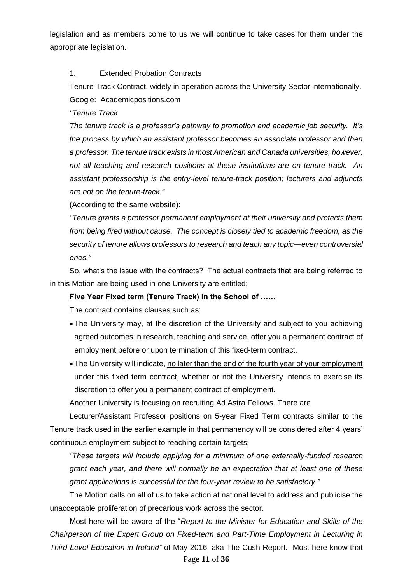legislation and as members come to us we will continue to take cases for them under the appropriate legislation.

## 1. Extended Probation Contracts

Tenure Track Contract, widely in operation across the University Sector internationally. Google: Academicpositions.com

*"Tenure Track*

*The tenure track is a professor's pathway to promotion and academic job security. It's the process by which an assistant professor becomes an associate professor and then a professor. The tenure track exists in most American and Canada universities, however, not all teaching and research positions at these institutions are on tenure track. An assistant professorship is the entry-level tenure-track position; lecturers and adjuncts are not on the tenure-track."*

(According to the same website):

*"Tenure grants a professor permanent employment at their university and protects them from being fired without cause. The concept is closely tied to academic freedom, as the security of tenure allows professors to research and teach any topic—even controversial ones."*

So, what's the issue with the contracts? The actual contracts that are being referred to in this Motion are being used in one University are entitled;

## **Five Year Fixed term (Tenure Track) in the School of ……**

The contract contains clauses such as:

- The University may, at the discretion of the University and subject to you achieving agreed outcomes in research, teaching and service, offer you a permanent contract of employment before or upon termination of this fixed-term contract.
- The University will indicate, no later than the end of the fourth year of your employment under this fixed term contract, whether or not the University intends to exercise its discretion to offer you a permanent contract of employment.

Another University is focusing on recruiting Ad Astra Fellows. There are

Lecturer/Assistant Professor positions on 5-year Fixed Term contracts similar to the Tenure track used in the earlier example in that permanency will be considered after 4 years' continuous employment subject to reaching certain targets:

*"These targets will include applying for a minimum of one externally-funded research grant each year, and there will normally be an expectation that at least one of these grant applications is successful for the four-year review to be satisfactory."*

The Motion calls on all of us to take action at national level to address and publicise the unacceptable proliferation of precarious work across the sector.

Most here will be aware of the "*Report to the Minister for Education and Skills of the Chairperson of the Expert Group on Fixed-term and Part-Time Employment in Lecturing in Third-Level Education in Ireland"* of May 2016, aka The Cush Report. Most here know that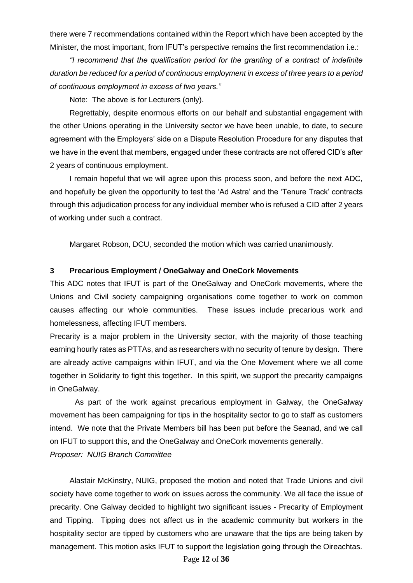there were 7 recommendations contained within the Report which have been accepted by the Minister, the most important, from IFUT's perspective remains the first recommendation i.e.:

*"I recommend that the qualification period for the granting of a contract of indefinite duration be reduced for a period of continuous employment in excess of three years to a period of continuous employment in excess of two years."*

Note: The above is for Lecturers (only).

Regrettably, despite enormous efforts on our behalf and substantial engagement with the other Unions operating in the University sector we have been unable, to date, to secure agreement with the Employers' side on a Dispute Resolution Procedure for any disputes that we have in the event that members, engaged under these contracts are not offered CID's after 2 years of continuous employment.

I remain hopeful that we will agree upon this process soon, and before the next ADC, and hopefully be given the opportunity to test the 'Ad Astra' and the 'Tenure Track' contracts through this adjudication process for any individual member who is refused a CID after 2 years of working under such a contract.

Margaret Robson, DCU, seconded the motion which was carried unanimously.

## **3 Precarious Employment / OneGalway and OneCork Movements**

This ADC notes that IFUT is part of the OneGalway and OneCork movements, where the Unions and Civil society campaigning organisations come together to work on common causes affecting our whole communities. These issues include precarious work and homelessness, affecting IFUT members.

Precarity is a major problem in the University sector, with the majority of those teaching earning hourly rates as PTTAs, and as researchers with no security of tenure by design. There are already active campaigns within IFUT, and via the One Movement where we all come together in Solidarity to fight this together. In this spirit, we support the precarity campaigns in OneGalway.

As part of the work against precarious employment in Galway, the OneGalway movement has been campaigning for tips in the hospitality sector to go to staff as customers intend. We note that the Private Members bill has been put before the Seanad, and we call on IFUT to support this, and the OneGalway and OneCork movements generally. *Proposer: NUIG Branch Committee*

Alastair McKinstry, NUIG, proposed the motion and noted that Trade Unions and civil society have come together to work on issues across the community. We all face the issue of precarity. One Galway decided to highlight two significant issues - Precarity of Employment and Tipping. Tipping does not affect us in the academic community but workers in the hospitality sector are tipped by customers who are unaware that the tips are being taken by management. This motion asks IFUT to support the legislation going through the Oireachtas.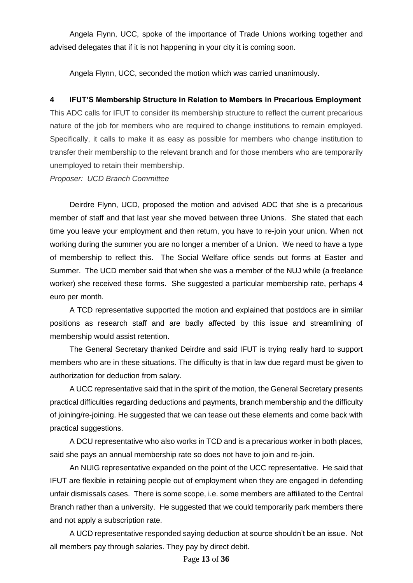Angela Flynn, UCC, spoke of the importance of Trade Unions working together and advised delegates that if it is not happening in your city it is coming soon.

Angela Flynn, UCC, seconded the motion which was carried unanimously.

## **4 IFUT'S Membership Structure in Relation to Members in Precarious Employment**

This ADC calls for IFUT to consider its membership structure to reflect the current precarious nature of the job for members who are required to change institutions to remain employed. Specifically, it calls to make it as easy as possible for members who change institution to transfer their membership to the relevant branch and for those members who are temporarily unemployed to retain their membership.

*Proposer: UCD Branch Committee*

Deirdre Flynn, UCD, proposed the motion and advised ADC that she is a precarious member of staff and that last year she moved between three Unions. She stated that each time you leave your employment and then return, you have to re-join your union. When not working during the summer you are no longer a member of a Union. We need to have a type of membership to reflect this. The Social Welfare office sends out forms at Easter and Summer. The UCD member said that when she was a member of the NUJ while (a freelance worker) she received these forms. She suggested a particular membership rate, perhaps 4 euro per month.

A TCD representative supported the motion and explained that postdocs are in similar positions as research staff and are badly affected by this issue and streamlining of membership would assist retention.

The General Secretary thanked Deirdre and said IFUT is trying really hard to support members who are in these situations. The difficulty is that in law due regard must be given to authorization for deduction from salary.

A UCC representative said that in the spirit of the motion, the General Secretary presents practical difficulties regarding deductions and payments, branch membership and the difficulty of joining/re-joining. He suggested that we can tease out these elements and come back with practical suggestions.

A DCU representative who also works in TCD and is a precarious worker in both places, said she pays an annual membership rate so does not have to join and re-join.

An NUIG representative expanded on the point of the UCC representative. He said that IFUT are flexible in retaining people out of employment when they are engaged in defending unfair dismissals cases. There is some scope, i.e. some members are affiliated to the Central Branch rather than a university. He suggested that we could temporarily park members there and not apply a subscription rate.

A UCD representative responded saying deduction at source shouldn't be an issue. Not all members pay through salaries. They pay by direct debit.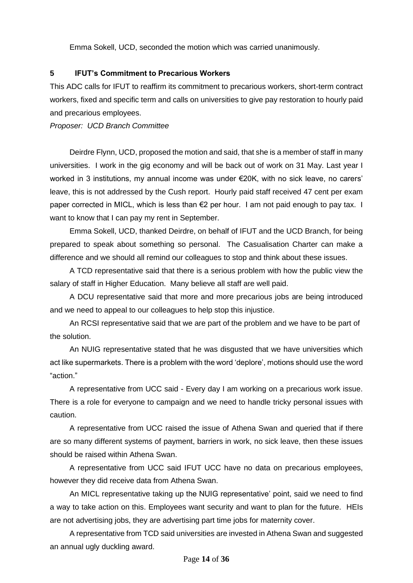Emma Sokell, UCD, seconded the motion which was carried unanimously.

## **5 IFUT's Commitment to Precarious Workers**

This ADC calls for IFUT to reaffirm its commitment to precarious workers, short-term contract workers, fixed and specific term and calls on universities to give pay restoration to hourly paid and precarious employees.

*Proposer: UCD Branch Committee*

Deirdre Flynn, UCD, proposed the motion and said, that she is a member of staff in many universities. I work in the gig economy and will be back out of work on 31 May. Last year I worked in 3 institutions, my annual income was under €20K, with no sick leave, no carers' leave, this is not addressed by the Cush report. Hourly paid staff received 47 cent per exam paper corrected in MICL, which is less than €2 per hour. I am not paid enough to pay tax. I want to know that I can pay my rent in September.

Emma Sokell, UCD, thanked Deirdre, on behalf of IFUT and the UCD Branch, for being prepared to speak about something so personal. The Casualisation Charter can make a difference and we should all remind our colleagues to stop and think about these issues.

A TCD representative said that there is a serious problem with how the public view the salary of staff in Higher Education. Many believe all staff are well paid.

A DCU representative said that more and more precarious jobs are being introduced and we need to appeal to our colleagues to help stop this injustice.

An RCSI representative said that we are part of the problem and we have to be part of the solution.

An NUIG representative stated that he was disgusted that we have universities which act like supermarkets. There is a problem with the word 'deplore', motions should use the word "action."

A representative from UCC said - Every day I am working on a precarious work issue. There is a role for everyone to campaign and we need to handle tricky personal issues with caution.

A representative from UCC raised the issue of Athena Swan and queried that if there are so many different systems of payment, barriers in work, no sick leave, then these issues should be raised within Athena Swan.

A representative from UCC said IFUT UCC have no data on precarious employees, however they did receive data from Athena Swan.

An MICL representative taking up the NUIG representative' point, said we need to find a way to take action on this. Employees want security and want to plan for the future. HEIs are not advertising jobs, they are advertising part time jobs for maternity cover.

A representative from TCD said universities are invested in Athena Swan and suggested an annual ugly duckling award.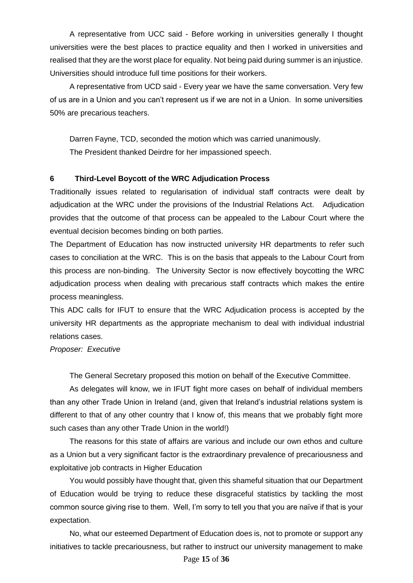A representative from UCC said - Before working in universities generally I thought universities were the best places to practice equality and then I worked in universities and realised that they are the worst place for equality. Not being paid during summer is an injustice. Universities should introduce full time positions for their workers.

A representative from UCD said - Every year we have the same conversation. Very few of us are in a Union and you can't represent us if we are not in a Union. In some universities 50% are precarious teachers.

Darren Fayne, TCD, seconded the motion which was carried unanimously. The President thanked Deirdre for her impassioned speech.

## **6 Third-Level Boycott of the WRC Adjudication Process**

Traditionally issues related to regularisation of individual staff contracts were dealt by adjudication at the WRC under the provisions of the Industrial Relations Act. Adjudication provides that the outcome of that process can be appealed to the Labour Court where the eventual decision becomes binding on both parties.

The Department of Education has now instructed university HR departments to refer such cases to conciliation at the WRC. This is on the basis that appeals to the Labour Court from this process are non-binding. The University Sector is now effectively boycotting the WRC adjudication process when dealing with precarious staff contracts which makes the entire process meaningless.

This ADC calls for IFUT to ensure that the WRC Adjudication process is accepted by the university HR departments as the appropriate mechanism to deal with individual industrial relations cases.

## *Proposer: Executive*

The General Secretary proposed this motion on behalf of the Executive Committee.

As delegates will know, we in IFUT fight more cases on behalf of individual members than any other Trade Union in Ireland (and, given that Ireland's industrial relations system is different to that of any other country that I know of, this means that we probably fight more such cases than any other Trade Union in the world!)

The reasons for this state of affairs are various and include our own ethos and culture as a Union but a very significant factor is the extraordinary prevalence of precariousness and exploitative job contracts in Higher Education

You would possibly have thought that, given this shameful situation that our Department of Education would be trying to reduce these disgraceful statistics by tackling the most common source giving rise to them. Well, I'm sorry to tell you that you are naïve if that is your expectation.

No, what our esteemed Department of Education does is, not to promote or support any initiatives to tackle precariousness, but rather to instruct our university management to make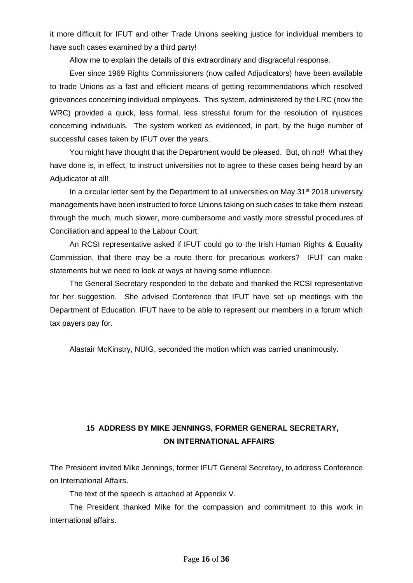it more difficult for IFUT and other Trade Unions seeking justice for individual members to have such cases examined by a third party!

Allow me to explain the details of this extraordinary and disgraceful response.

Ever since 1969 Rights Commissioners (now called Adjudicators) have been available to trade Unions as a fast and efficient means of getting recommendations which resolved grievances concerning individual employees. This system, administered by the LRC (now the WRC) provided a quick, less formal, less stressful forum for the resolution of injustices concerning individuals. The system worked as evidenced, in part, by the huge number of successful cases taken by IFUT over the years.

You might have thought that the Department would be pleased. But, oh no!! What they have done is, in effect, to instruct universities not to agree to these cases being heard by an Adjudicator at all!

In a circular letter sent by the Department to all universities on May  $31<sup>st</sup> 2018$  university managements have been instructed to force Unions taking on such cases to take them instead through the much, much slower, more cumbersome and vastly more stressful procedures of Conciliation and appeal to the Labour Court.

An RCSI representative asked if IFUT could go to the Irish Human Rights & Equality Commission, that there may be a route there for precarious workers? IFUT can make statements but we need to look at ways at having some influence.

The General Secretary responded to the debate and thanked the RCSI representative for her suggestion. She advised Conference that IFUT have set up meetings with the Department of Education. IFUT have to be able to represent our members in a forum which tax payers pay for.

Alastair McKinstry, NUIG, seconded the motion which was carried unanimously.

## **15 ADDRESS BY MIKE JENNINGS, FORMER GENERAL SECRETARY, ON INTERNATIONAL AFFAIRS**

The President invited Mike Jennings, former IFUT General Secretary, to address Conference on International Affairs.

The text of the speech is attached at Appendix V.

The President thanked Mike for the compassion and commitment to this work in international affairs.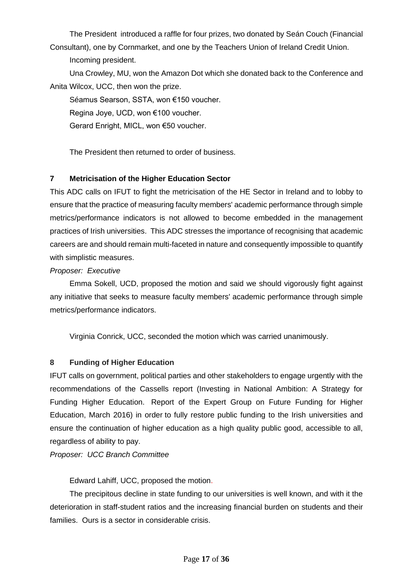The Presidentintroduced a raffle for four prizes, two donated by Seán Couch (Financial Consultant), one by Cornmarket, and one by the Teachers Union of Ireland Credit Union.

Incoming president.

Una Crowley, MU, won the Amazon Dot which she donated back to the Conference and Anita Wilcox, UCC, then won the prize.

Séamus Searson, SSTA, won €150 voucher.

Regina Joye, UCD, won €100 voucher.

Gerard Enright, MICL, won €50 voucher.

The President then returned to order of business.

## **7 Metricisation of the Higher Education Sector**

This ADC calls on IFUT to fight the metricisation of the HE Sector in Ireland and to lobby to ensure that the practice of measuring faculty members' academic performance through simple metrics/performance indicators is not allowed to become embedded in the management practices of Irish universities. This ADC stresses the importance of recognising that academic careers are and should remain multi-faceted in nature and consequently impossible to quantify with simplistic measures.

## *Proposer: Executive*

Emma Sokell, UCD, proposed the motion and said we should vigorously fight against any initiative that seeks to measure faculty members' academic performance through simple metrics/performance indicators.

Virginia Conrick, UCC, seconded the motion which was carried unanimously.

## **8 Funding of Higher Education**

IFUT calls on government, political parties and other stakeholders to engage urgently with the recommendations of the Cassells report (Investing in National Ambition: A Strategy for Funding Higher Education. Report of the Expert Group on Future Funding for Higher Education, March 2016) in order to fully restore public funding to the Irish universities and ensure the continuation of higher education as a high quality public good, accessible to all, regardless of ability to pay.

*Proposer: UCC Branch Committee*

Edward Lahiff, UCC, proposed the motion.

The precipitous decline in state funding to our universities is well known, and with it the deterioration in staff-student ratios and the increasing financial burden on students and their families. Ours is a sector in considerable crisis.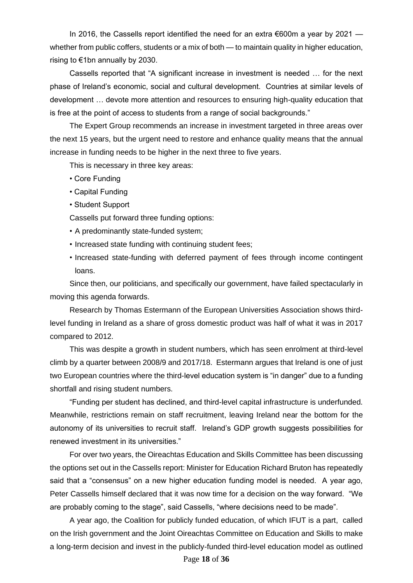In 2016, the Cassells report identified the need for an extra  $\epsilon$ 600m a year by 2021 whether from public coffers, students or a mix of both — to maintain quality in higher education, rising to €1bn annually by 2030.

Cassells reported that "A significant increase in investment is needed … for the next phase of Ireland's economic, social and cultural development. Countries at similar levels of development … devote more attention and resources to ensuring high-quality education that is free at the point of access to students from a range of social backgrounds."

The Expert Group recommends an increase in investment targeted in three areas over the next 15 years, but the urgent need to restore and enhance quality means that the annual increase in funding needs to be higher in the next three to five years.

This is necessary in three key areas:

- Core Funding
- Capital Funding
- Student Support

Cassells put forward three funding options:

- A predominantly state-funded system;
- Increased state funding with continuing student fees;
- Increased state-funding with deferred payment of fees through income contingent loans.

Since then, our politicians, and specifically our government, have failed spectacularly in moving this agenda forwards.

Research by Thomas Estermann of the European Universities Association shows thirdlevel funding in Ireland as a share of gross domestic product was half of what it was in 2017 compared to 2012.

This was despite a growth in student numbers, which has seen enrolment at third-level climb by a quarter between 2008/9 and 2017/18. Estermann argues that Ireland is one of just two European countries where the third-level education system is "in danger" due to a funding shortfall and rising student numbers.

"Funding per student has declined, and third-level capital infrastructure is underfunded. Meanwhile, restrictions remain on staff recruitment, leaving Ireland near the bottom for the autonomy of its universities to recruit staff. Ireland's GDP growth suggests possibilities for renewed investment in its universities."

For over two years, the Oireachtas Education and Skills Committee has been discussing the options set out in the Cassells report: Minister for Education Richard Bruton has repeatedly said that a "consensus" on a new higher education funding model is needed. A year ago, Peter Cassells himself declared that it was now time for a decision on the way forward. "We are probably coming to the stage", said Cassells, "where decisions need to be made".

A year ago, the Coalition for publicly funded education, of which IFUT is a part, called on the Irish government and the Joint Oireachtas Committee on Education and Skills to make a long-term decision and invest in the publicly-funded third-level education model as outlined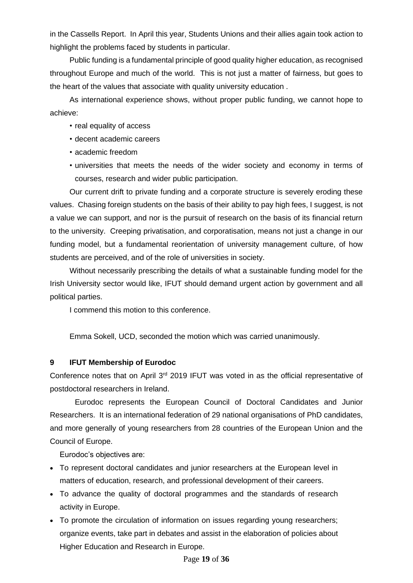in the Cassells Report. In April this year, Students Unions and their allies again took action to highlight the problems faced by students in particular.

Public funding is a fundamental principle of good quality higher education, as recognised throughout Europe and much of the world. This is not just a matter of fairness, but goes to the heart of the values that associate with quality university education .

As international experience shows, without proper public funding, we cannot hope to achieve:

- real equality of access
- decent academic careers
- academic freedom
- universities that meets the needs of the wider society and economy in terms of courses, research and wider public participation.

Our current drift to private funding and a corporate structure is severely eroding these values. Chasing foreign students on the basis of their ability to pay high fees, I suggest, is not a value we can support, and nor is the pursuit of research on the basis of its financial return to the university. Creeping privatisation, and corporatisation, means not just a change in our funding model, but a fundamental reorientation of university management culture, of how students are perceived, and of the role of universities in society.

Without necessarily prescribing the details of what a sustainable funding model for the Irish University sector would like, IFUT should demand urgent action by government and all political parties.

I commend this motion to this conference.

Emma Sokell, UCD, seconded the motion which was carried unanimously.

## **9 IFUT Membership of Eurodoc**

Conference notes that on April 3<sup>rd</sup> 2019 IFUT was voted in as the official representative of postdoctoral researchers in Ireland.

Eurodoc represents the European Council of Doctoral Candidates and Junior Researchers. It is an international federation of 29 national organisations of PhD candidates, and more generally of young researchers from 28 countries of the European Union and the Council of Europe.

Eurodoc's objectives are:

- To represent doctoral candidates and junior researchers at the European level in matters of education, research, and professional development of their careers.
- To advance the quality of doctoral programmes and the standards of research activity in Europe.
- To promote the circulation of information on issues regarding young researchers; organize events, take part in debates and assist in the elaboration of policies about Higher Education and Research in Europe.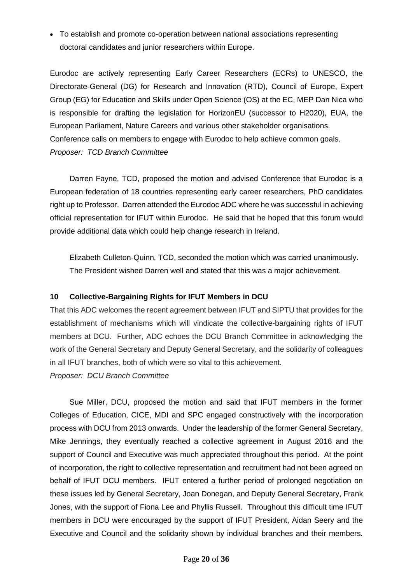• To establish and promote co-operation between national associations representing doctoral candidates and junior researchers within Europe.

Eurodoc are actively representing Early Career Researchers (ECRs) to UNESCO, the Directorate-General (DG) for Research and Innovation (RTD), Council of Europe, Expert Group (EG) for Education and Skills under Open Science (OS) at the EC, MEP Dan Nica who is responsible for drafting the legislation for HorizonEU (successor to H2020), EUA, the European Parliament, Nature Careers and various other stakeholder organisations. Conference calls on members to engage with Eurodoc to help achieve common goals. *Proposer: TCD Branch Committee*

Darren Fayne, TCD, proposed the motion and advised Conference that Eurodoc is a European federation of 18 countries representing early career researchers, PhD candidates right up to Professor. Darren attended the Eurodoc ADC where he was successful in achieving official representation for IFUT within Eurodoc. He said that he hoped that this forum would provide additional data which could help change research in Ireland.

Elizabeth Culleton-Quinn, TCD, seconded the motion which was carried unanimously. The President wished Darren well and stated that this was a major achievement.

## **10 Collective-Bargaining Rights for IFUT Members in DCU**

That this ADC welcomes the recent agreement between IFUT and SIPTU that provides for the establishment of mechanisms which will vindicate the collective-bargaining rights of IFUT members at DCU. Further, ADC echoes the DCU Branch Committee in acknowledging the work of the General Secretary and Deputy General Secretary, and the solidarity of colleagues in all IFUT branches, both of which were so vital to this achievement.

*Proposer: DCU Branch Committee*

Sue Miller, DCU, proposed the motion and said that IFUT members in the former Colleges of Education, CICE, MDI and SPC engaged constructively with the incorporation process with DCU from 2013 onwards. Under the leadership of the former General Secretary, Mike Jennings, they eventually reached a collective agreement in August 2016 and the support of Council and Executive was much appreciated throughout this period. At the point of incorporation, the right to collective representation and recruitment had not been agreed on behalf of IFUT DCU members. IFUT entered a further period of prolonged negotiation on these issues led by General Secretary, Joan Donegan, and Deputy General Secretary, Frank Jones, with the support of Fiona Lee and Phyllis Russell. Throughout this difficult time IFUT members in DCU were encouraged by the support of IFUT President, Aidan Seery and the Executive and Council and the solidarity shown by individual branches and their members.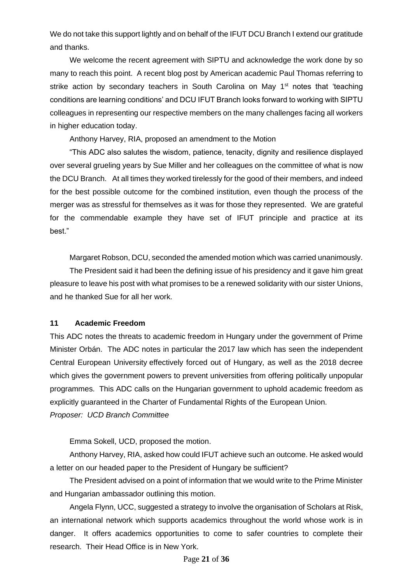We do not take this support lightly and on behalf of the IFUT DCU Branch I extend our gratitude and thanks.

We welcome the recent agreement with SIPTU and acknowledge the work done by so many to reach this point. A recent blog post by American academic Paul Thomas referring to strike action by secondary teachers in South Carolina on May  $1<sup>st</sup>$  notes that 'teaching conditions are learning conditions' and DCU IFUT Branch looks forward to working with SIPTU colleagues in representing our respective members on the many challenges facing all workers in higher education today.

Anthony Harvey, RIA, proposed an amendment to the Motion

"This ADC also salutes the wisdom, patience, tenacity, dignity and resilience displayed over several grueling years by Sue Miller and her colleagues on the committee of what is now the DCU Branch. At all times they worked tirelessly for the good of their members, and indeed for the best possible outcome for the combined institution, even though the process of the merger was as stressful for themselves as it was for those they represented. We are grateful for the commendable example they have set of IFUT principle and practice at its best."

Margaret Robson, DCU, seconded the amended motion which was carried unanimously.

The President said it had been the defining issue of his presidency and it gave him great pleasure to leave his post with what promises to be a renewed solidarity with our sister Unions, and he thanked Sue for all her work.

## **11 Academic Freedom**

This ADC notes the threats to academic freedom in Hungary under the government of Prime Minister Orbán. The ADC notes in particular the 2017 law which has seen the independent Central European University effectively forced out of Hungary, as well as the 2018 decree which gives the government powers to prevent universities from offering politically unpopular programmes. This ADC calls on the Hungarian government to uphold academic freedom as explicitly guaranteed in the Charter of Fundamental Rights of the European Union. *Proposer: UCD Branch Committee*

Emma Sokell, UCD, proposed the motion.

Anthony Harvey, RIA, asked how could IFUT achieve such an outcome. He asked would a letter on our headed paper to the President of Hungary be sufficient?

The President advised on a point of information that we would write to the Prime Minister and Hungarian ambassador outlining this motion.

Angela Flynn, UCC, suggested a strategy to involve the organisation of Scholars at Risk, an international network which supports academics throughout the world whose work is in danger. It offers academics opportunities to come to safer countries to complete their research. Their Head Office is in New York.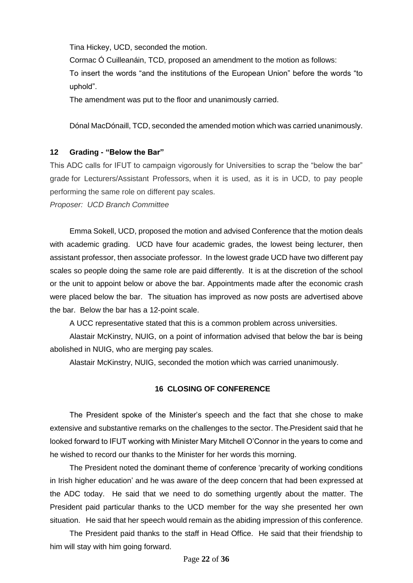Tina Hickey, UCD, seconded the motion.

Cormac Ó Cuilleanáin, TCD, proposed an amendment to the motion as follows:

To insert the words "and the institutions of the European Union" before the words "to uphold".

The amendment was put to the floor and unanimously carried.

Dónal MacDónaill, TCD, seconded the amended motion which was carried unanimously.

## **12 Grading - "Below the Bar"**

This ADC calls for IFUT to campaign vigorously for Universities to scrap the "below the bar" grade for Lecturers/Assistant Professors, when it is used, as it is in UCD, to pay people performing the same role on different pay scales.

*Proposer: UCD Branch Committee*

Emma Sokell, UCD, proposed the motion and advised Conference that the motion deals with academic grading. UCD have four academic grades, the lowest being lecturer, then assistant professor, then associate professor. In the lowest grade UCD have two different pay scales so people doing the same role are paid differently. It is at the discretion of the school or the unit to appoint below or above the bar. Appointments made after the economic crash were placed below the bar. The situation has improved as now posts are advertised above the bar. Below the bar has a 12-point scale.

A UCC representative stated that this is a common problem across universities.

Alastair McKinstry, NUIG, on a point of information advised that below the bar is being abolished in NUIG, who are merging pay scales.

Alastair McKinstry, NUIG, seconded the motion which was carried unanimously.

## **16 CLOSING OF CONFERENCE**

The President spoke of the Minister's speech and the fact that she chose to make extensive and substantive remarks on the challenges to the sector. The President said that he looked forward to IFUT working with Minister Mary Mitchell O'Connor in the years to come and he wished to record our thanks to the Minister for her words this morning.

The President noted the dominant theme of conference 'precarity of working conditions in Irish higher education' and he was aware of the deep concern that had been expressed at the ADC today. He said that we need to do something urgently about the matter. The President paid particular thanks to the UCD member for the way she presented her own situation. He said that her speech would remain as the abiding impression of this conference.

The President paid thanks to the staff in Head Office. He said that their friendship to him will stay with him going forward.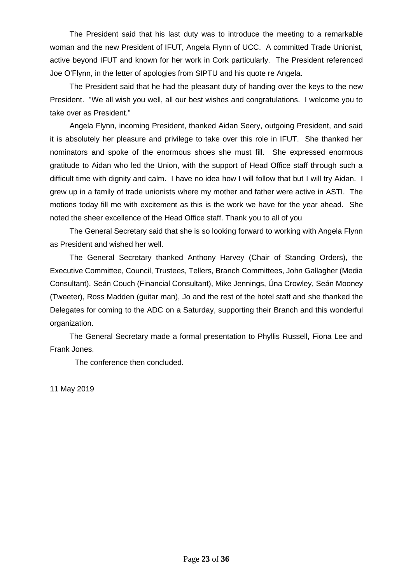The President said that his last duty was to introduce the meeting to a remarkable woman and the new President of IFUT, Angela Flynn of UCC. A committed Trade Unionist, active beyond IFUT and known for her work in Cork particularly. The President referenced Joe O'Flynn, in the letter of apologies from SIPTU and his quote re Angela.

The President said that he had the pleasant duty of handing over the keys to the new President. "We all wish you well, all our best wishes and congratulations. I welcome you to take over as President."

Angela Flynn, incoming President, thanked Aidan Seery, outgoing President, and said it is absolutely her pleasure and privilege to take over this role in IFUT. She thanked her nominators and spoke of the enormous shoes she must fill. She expressed enormous gratitude to Aidan who led the Union, with the support of Head Office staff through such a difficult time with dignity and calm. I have no idea how I will follow that but I will try Aidan. I grew up in a family of trade unionists where my mother and father were active in ASTI. The motions today fill me with excitement as this is the work we have for the year ahead. She noted the sheer excellence of the Head Office staff. Thank you to all of you

The General Secretary said that she is so looking forward to working with Angela Flynn as President and wished her well.

The General Secretary thanked Anthony Harvey (Chair of Standing Orders), the Executive Committee, Council, Trustees, Tellers, Branch Committees, John Gallagher (Media Consultant), Seán Couch (Financial Consultant), Mike Jennings, Úna Crowley, Seán Mooney (Tweeter), Ross Madden (guitar man), Jo and the rest of the hotel staff and she thanked the Delegates for coming to the ADC on a Saturday, supporting their Branch and this wonderful organization.

The General Secretary made a formal presentation to Phyllis Russell, Fiona Lee and Frank Jones.

The conference then concluded.

11 May 2019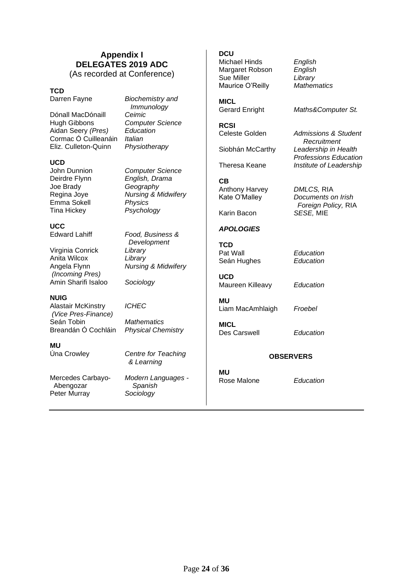## **Appendix I DELEGATES 2019 ADC** (As recorded at Conference)

### **TCD**

Dónall MacDónaill *Ceimic* Hugh Gibbons *Computer Science* Aidan Seery *(Pres) Education* Cormac Ó Cuilleanáin *Italian* Eliz. Culleton-Quinn *Physiotherapy*

Darren Fayne *Biochemistry and Immunology*

**UCD**<br>John Dunnion Joe Brady *Geography* Emma Sokell Tina Hickey *Psychology*

**Computer Science** Deirdre Flynn *English, Drama* Regina Joye *Nursing & Midwifery*

> Edward Lahiff *Food, Business & Development*

**UCC**<br>Edward Lahiff

**NUIG** 

**MU**

Virginia Conrick *Library* Anita Wilcox *Library* Angela Flynn *Nursing & Midwifery (Incoming Pres)* Amin Sharifi Isaloo *Sociology*

Alastair McKinstry *ICHEC*

*(Vice Pres-Finance)* Mathematics Breandán Ó Cochláin *Physical Chemistry*

Úna Crowley *Centre for Teaching & Learning*

Mercedes Carbayo- *Modern Languages -* Abengozar *Spanish* Peter Murray *Sociology*

**DCU** Michael Hinds *English* Margaret Robson *English* Sue Miller *Library*

**MICL**<br>Gerard Enright

Maurice O'Reilly *Mathematics*

**RCSI**

**CB** Anthony Harvey *DMLCS,* RIA

Karin Bacon *SESE,* MIE

## *APOLOGIES*

**TCD** Pat Wall *Education* **Seán Hughes** 

**UCD** Maureen Killeavy *Education*

**MU** Liam MacAmhlaigh *Froebel*

Des Carswell *Education*

## **OBSERVERS**

**MU** Rose Malone *Education*

Maths&Computer St.

Admissions & Student  *Recruitment* Siobhán McCarthy *Leadership in Health Professions Education* Theresa Keane *Institute of Leadership*

Kate O'Malley *Documents on Irish Foreign Policy,* RIA

**MICL**

Page **24** of **36**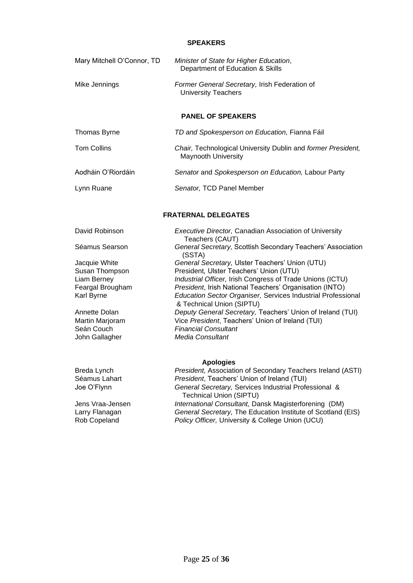### **SPEAKERS**

| Mary Mitchell O'Connor, TD | Minister of State for Higher Education,<br>Department of Education & Skills                |
|----------------------------|--------------------------------------------------------------------------------------------|
| Mike Jennings              | Former General Secretary, Irish Federation of<br><b>University Teachers</b>                |
|                            | <b>PANEL OF SPEAKERS</b>                                                                   |
| Thomas Byrne               | TD and Spokesperson on Education, Fianna Fáil                                              |
| <b>Tom Collins</b>         | Chair, Technological University Dublin and former President,<br><b>Maynooth University</b> |
| Aodháin O'Riordáin         | Senator and Spokesperson on Education, Labour Party                                        |
| Lynn Ruane                 | Senator, TCD Panel Member                                                                  |
|                            | <b>FRATERNAL DELEGATES</b>                                                                 |
| David Robinson             | Executive Director, Canadian Association of University<br>Teachers (CAUT)                  |
| Séamus Searson             | General Secretary, Scottish Secondary Teachers' Association<br>(SSTA)                      |
| Jacquie White              | General Secretary, Ulster Teachers' Union (UTU)                                            |
| Susan Thompson             | President, Ulster Teachers' Union (UTU)                                                    |
| Liam Berney                | Industrial Officer, Irish Congress of Trade Unions (ICTU)                                  |
| Feargal Brougham           | President, Irish National Teachers' Organisation (INTO)                                    |
| Karl Byrne                 | Education Sector Organiser, Services Industrial Professional<br>& Technical Union (SIPTU)  |
| Annette Dolan              | Deputy General Secretary, Teachers' Union of Ireland (TUI)                                 |
| Martin Marjoram            | Vice President, Teachers' Union of Ireland (TUI)                                           |
| Seán Couch                 | <b>Financial Consultant</b>                                                                |
| John Gallagher             | <b>Media Consultant</b>                                                                    |
|                            | <b>Apologies</b>                                                                           |
| Breda Lynch                | President, Association of Secondary Teachers Ireland (ASTI)                                |
| Séamus Lahart              | President, Teachers' Union of Ireland (TUI)                                                |
| Joe O'Flynn                | General Secretary, Services Industrial Professional &                                      |

 Technical Union (SIPTU) Jens Vraa-Jensen *International Consultant,* Dansk Magisterforening (DM) Larry Flanagan *General Secretary*, The Education Institute of Scotland (EIS)<br>
Rob Copeland *Policy Officer*, University & College Union (UCU) Policy Officer, University & College Union (UCU)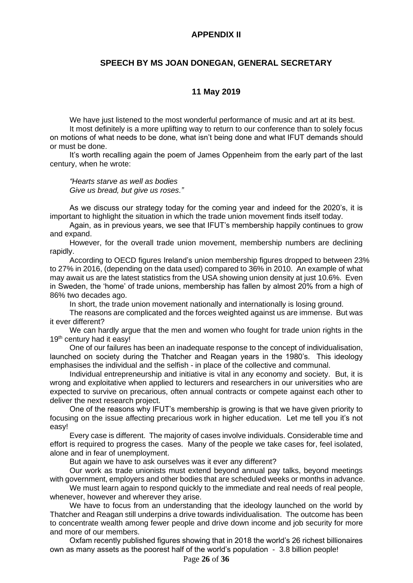## **APPENDIX II**

## **SPEECH BY MS JOAN DONEGAN, GENERAL SECRETARY**

## **11 May 2019**

We have just listened to the most wonderful performance of music and art at its best. It most definitely is a more uplifting way to return to our conference than to solely focus on motions of what needs to be done, what isn't being done and what IFUT demands should or must be done.

It's worth recalling again the poem of James Oppenheim from the early part of the last century, when he wrote:

*"Hearts starve as well as bodies Give us bread, but give us roses."*

As we discuss our strategy today for the coming year and indeed for the 2020's, it is important to highlight the situation in which the trade union movement finds itself today.

Again, as in previous years, we see that IFUT's membership happily continues to grow and expand.

However, for the overall trade union movement, membership numbers are declining rapidly.

According to OECD figures Ireland's union membership figures dropped to between 23% to 27% in 2016, (depending on the data used) compared to 36% in 2010. An example of what may await us are the latest statistics from the USA showing union density at just 10.6%. Even in Sweden, the 'home' of trade unions, membership has fallen by almost 20% from a high of 86% two decades ago.

In short, the trade union movement nationally and internationally is losing ground.

The reasons are complicated and the forces weighted against us are immense. But was it ever different?

We can hardly argue that the men and women who fought for trade union rights in the 19<sup>th</sup> century had it easy!

One of our failures has been an inadequate response to the concept of individualisation, launched on society during the Thatcher and Reagan years in the 1980's. This ideology emphasises the individual and the selfish - in place of the collective and communal.

Individual entrepreneurship and initiative is vital in any economy and society. But, it is wrong and exploitative when applied to lecturers and researchers in our universities who are expected to survive on precarious, often annual contracts or compete against each other to deliver the next research project.

One of the reasons why IFUT's membership is growing is that we have given priority to focusing on the issue affecting precarious work in higher education. Let me tell you it's not easy!

Every case is different. The majority of cases involve individuals. Considerable time and effort is required to progress the cases. Many of the people we take cases for, feel isolated, alone and in fear of unemployment.

But again we have to ask ourselves was it ever any different?

Our work as trade unionists must extend beyond annual pay talks, beyond meetings with government, employers and other bodies that are scheduled weeks or months in advance.

We must learn again to respond quickly to the immediate and real needs of real people, whenever, however and wherever they arise.

We have to focus from an understanding that the ideology launched on the world by Thatcher and Reagan still underpins a drive towards individualisation. The outcome has been to concentrate wealth among fewer people and drive down income and job security for more and more of our members.

Oxfam recently published figures showing that in 2018 the world's 26 richest billionaires own as many assets as the poorest half of the world's population - 3.8 billion people!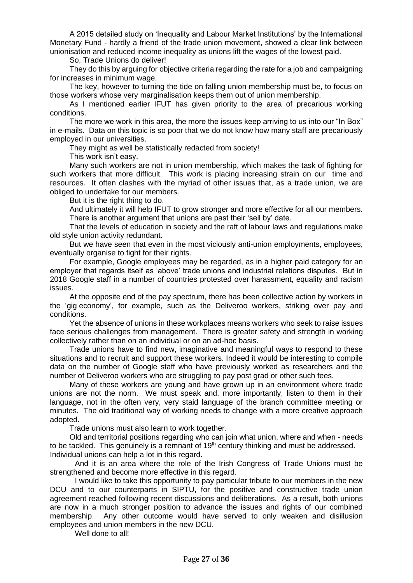A 2015 detailed study on 'Inequality and Labour Market Institutions' by the International Monetary Fund - hardly a friend of the trade union movement, showed a clear link between unionisation and reduced income inequality as unions lift the wages of the lowest paid.

So, Trade Unions do deliver!

They do this by arguing for objective criteria regarding the rate for a job and campaigning for increases in minimum wage.

The key, however to turning the tide on falling union membership must be, to focus on those workers whose very marginalisation keeps them out of union membership.

As I mentioned earlier IFUT has given priority to the area of precarious working conditions.

The more we work in this area, the more the issues keep arriving to us into our "In Box" in e-mails. Data on this topic is so poor that we do not know how many staff are precariously employed in our universities.

They might as well be statistically redacted from society!

This work isn't easy.

Many such workers are not in union membership, which makes the task of fighting for such workers that more difficult. This work is placing increasing strain on our time and resources. It often clashes with the myriad of other issues that, as a trade union, we are obliged to undertake for our members.

But it is the right thing to do.

And ultimately it will help IFUT to grow stronger and more effective for all our members. There is another argument that unions are past their 'sell by' date.

That the levels of education in society and the raft of labour laws and regulations make old style union activity redundant.

But we have seen that even in the most viciously anti-union employments, employees, eventually organise to fight for their rights.

For example, Google employees may be regarded, as in a higher paid category for an employer that regards itself as 'above' trade unions and industrial relations disputes. But in 2018 Google staff in a number of countries protested over harassment, equality and racism issues.

At the opposite end of the pay spectrum, there has been collective action by workers in the 'gig economy', for example, such as the Deliveroo workers, striking over pay and conditions.

Yet the absence of unions in these workplaces means workers who seek to raise issues face serious challenges from management. There is greater safety and strength in working collectively rather than on an individual or on an ad-hoc basis.

Trade unions have to find new, imaginative and meaningful ways to respond to these situations and to recruit and support these workers. Indeed it would be interesting to compile data on the number of Google staff who have previously worked as researchers and the number of Deliveroo workers who are struggling to pay post grad or other such fees.

Many of these workers are young and have grown up in an environment where trade unions are not the norm. We must speak and, more importantly, listen to them in their language, not in the often very, very staid language of the branch committee meeting or minutes. The old traditional way of working needs to change with a more creative approach adopted.

Trade unions must also learn to work together.

Old and territorial positions regarding who can join what union, where and when - needs to be tackled. This genuinely is a remnant of 19<sup>th</sup> century thinking and must be addressed. Individual unions can help a lot in this regard.

And it is an area where the role of the Irish Congress of Trade Unions must be strengthened and become more effective in this regard.

I would like to take this opportunity to pay particular tribute to our members in the new DCU and to our counterparts in SIPTU, for the positive and constructive trade union agreement reached following recent discussions and deliberations. As a result, both unions are now in a much stronger position to advance the issues and rights of our combined membership. Any other outcome would have served to only weaken and disillusion employees and union members in the new DCU.

Well done to all!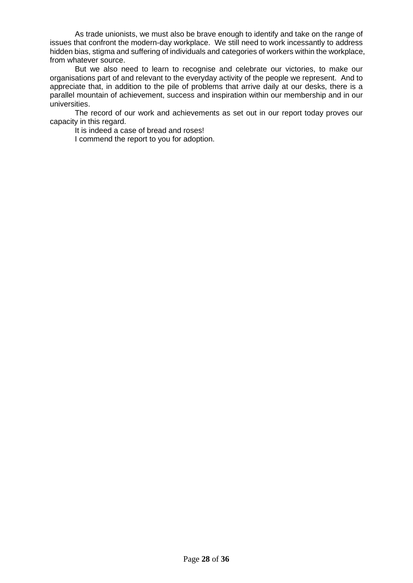As trade unionists, we must also be brave enough to identify and take on the range of issues that confront the modern-day workplace. We still need to work incessantly to address hidden bias, stigma and suffering of individuals and categories of workers within the workplace, from whatever source.

But we also need to learn to recognise and celebrate our victories, to make our organisations part of and relevant to the everyday activity of the people we represent. And to appreciate that, in addition to the pile of problems that arrive daily at our desks, there is a parallel mountain of achievement, success and inspiration within our membership and in our universities.

The record of our work and achievements as set out in our report today proves our capacity in this regard.

It is indeed a case of bread and roses!

I commend the report to you for adoption.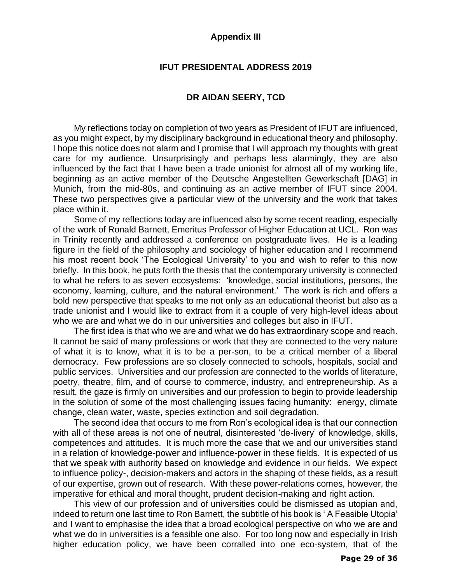## **Appendix III**

## **IFUT PRESIDENTAL ADDRESS 2019**

## **DR AIDAN SEERY, TCD**

My reflections today on completion of two years as President of IFUT are influenced, as you might expect, by my disciplinary background in educational theory and philosophy. I hope this notice does not alarm and I promise that I will approach my thoughts with great care for my audience. Unsurprisingly and perhaps less alarmingly, they are also influenced by the fact that I have been a trade unionist for almost all of my working life, beginning as an active member of the Deutsche Angestellten Gewerkschaft [DAG] in Munich, from the mid-80s, and continuing as an active member of IFUT since 2004. These two perspectives give a particular view of the university and the work that takes place within it.

Some of my reflections today are influenced also by some recent reading, especially of the work of Ronald Barnett, Emeritus Professor of Higher Education at UCL. Ron was in Trinity recently and addressed a conference on postgraduate lives. He is a leading figure in the field of the philosophy and sociology of higher education and I recommend his most recent book 'The Ecological University' to you and wish to refer to this now briefly. In this book, he puts forth the thesis that the contemporary university is connected to what he refers to as seven ecosystems: 'knowledge, social institutions, persons, the economy, learning, culture, and the natural environment.' The work is rich and offers a bold new perspective that speaks to me not only as an educational theorist but also as a trade unionist and I would like to extract from it a couple of very high-level ideas about who we are and what we do in our universities and colleges but also in IFUT.

The first idea is that who we are and what we do has extraordinary scope and reach. It cannot be said of many professions or work that they are connected to the very nature of what it is to know, what it is to be a per-son, to be a critical member of a liberal democracy. Few professions are so closely connected to schools, hospitals, social and public services. Universities and our profession are connected to the worlds of literature, poetry, theatre, film, and of course to commerce, industry, and entrepreneurship. As a result, the gaze is firmly on universities and our profession to begin to provide leadership in the solution of some of the most challenging issues facing humanity: energy, climate change, clean water, waste, species extinction and soil degradation.

The second idea that occurs to me from Ron's ecological idea is that our connection with all of these areas is not one of neutral, disinterested 'de-livery' of knowledge, skills, competences and attitudes. It is much more the case that we and our universities stand in a relation of knowledge-power and influence-power in these fields. It is expected of us that we speak with authority based on knowledge and evidence in our fields. We expect to influence policy-, decision-makers and actors in the shaping of these fields, as a result of our expertise, grown out of research. With these power-relations comes, however, the imperative for ethical and moral thought, prudent decision-making and right action.

This view of our profession and of universities could be dismissed as utopian and, indeed to return one last time to Ron Barnett, the subtitle of his book is ' A Feasible Utopia' and I want to emphasise the idea that a broad ecological perspective on who we are and what we do in universities is a feasible one also. For too long now and especially in Irish higher education policy, we have been corralled into one eco-system, that of the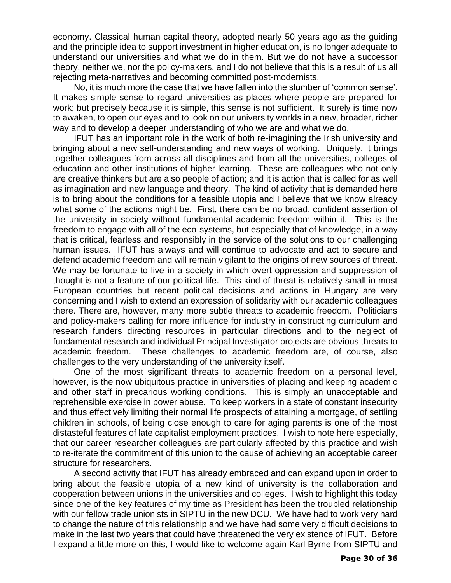economy. Classical human capital theory, adopted nearly 50 years ago as the guiding and the principle idea to support investment in higher education, is no longer adequate to understand our universities and what we do in them. But we do not have a successor theory, neither we, nor the policy-makers, and I do not believe that this is a result of us all rejecting meta-narratives and becoming committed post-modernists.

No, it is much more the case that we have fallen into the slumber of 'common sense'. It makes simple sense to regard universities as places where people are prepared for work; but precisely because it is simple, this sense is not sufficient. It surely is time now to awaken, to open our eyes and to look on our university worlds in a new, broader, richer way and to develop a deeper understanding of who we are and what we do.

IFUT has an important role in the work of both re-imagining the Irish university and bringing about a new self-understanding and new ways of working. Uniquely, it brings together colleagues from across all disciplines and from all the universities, colleges of education and other institutions of higher learning. These are colleagues who not only are creative thinkers but are also people of action; and it is action that is called for as well as imagination and new language and theory. The kind of activity that is demanded here is to bring about the conditions for a feasible utopia and I believe that we know already what some of the actions might be. First, there can be no broad, confident assertion of the university in society without fundamental academic freedom within it. This is the freedom to engage with all of the eco-systems, but especially that of knowledge, in a way that is critical, fearless and responsibly in the service of the solutions to our challenging human issues. IFUT has always and will continue to advocate and act to secure and defend academic freedom and will remain vigilant to the origins of new sources of threat. We may be fortunate to live in a society in which overt oppression and suppression of thought is not a feature of our political life. This kind of threat is relatively small in most European countries but recent political decisions and actions in Hungary are very concerning and I wish to extend an expression of solidarity with our academic colleagues there. There are, however, many more subtle threats to academic freedom. Politicians and policy-makers calling for more influence for industry in constructing curriculum and research funders directing resources in particular directions and to the neglect of fundamental research and individual Principal Investigator projects are obvious threats to academic freedom. These challenges to academic freedom are, of course, also challenges to the very understanding of the university itself.

One of the most significant threats to academic freedom on a personal level, however, is the now ubiquitous practice in universities of placing and keeping academic and other staff in precarious working conditions. This is simply an unacceptable and reprehensible exercise in power abuse. To keep workers in a state of constant insecurity and thus effectively limiting their normal life prospects of attaining a mortgage, of settling children in schools, of being close enough to care for aging parents is one of the most distasteful features of late capitalist employment practices. I wish to note here especially, that our career researcher colleagues are particularly affected by this practice and wish to re-iterate the commitment of this union to the cause of achieving an acceptable career structure for researchers.

A second activity that IFUT has already embraced and can expand upon in order to bring about the feasible utopia of a new kind of university is the collaboration and cooperation between unions in the universities and colleges. I wish to highlight this today since one of the key features of my time as President has been the troubled relationship with our fellow trade unionists in SIPTU in the new DCU. We have had to work very hard to change the nature of this relationship and we have had some very difficult decisions to make in the last two years that could have threatened the very existence of IFUT. Before I expand a little more on this, I would like to welcome again Karl Byrne from SIPTU and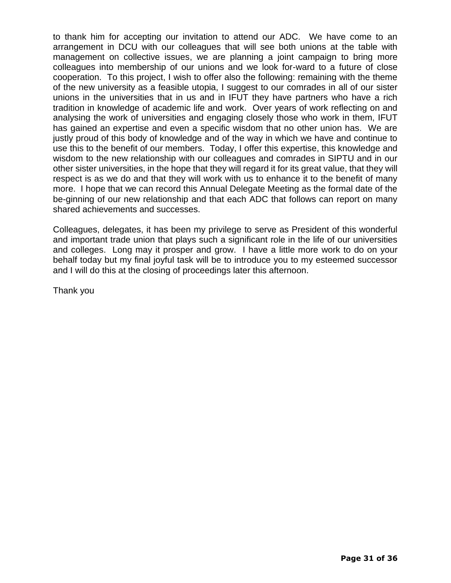to thank him for accepting our invitation to attend our ADC. We have come to an arrangement in DCU with our colleagues that will see both unions at the table with management on collective issues, we are planning a joint campaign to bring more colleagues into membership of our unions and we look for-ward to a future of close cooperation. To this project, I wish to offer also the following: remaining with the theme of the new university as a feasible utopia, I suggest to our comrades in all of our sister unions in the universities that in us and in IFUT they have partners who have a rich tradition in knowledge of academic life and work. Over years of work reflecting on and analysing the work of universities and engaging closely those who work in them, IFUT has gained an expertise and even a specific wisdom that no other union has. We are justly proud of this body of knowledge and of the way in which we have and continue to use this to the benefit of our members. Today, I offer this expertise, this knowledge and wisdom to the new relationship with our colleagues and comrades in SIPTU and in our other sister universities, in the hope that they will regard it for its great value, that they will respect is as we do and that they will work with us to enhance it to the benefit of many more. I hope that we can record this Annual Delegate Meeting as the formal date of the be-ginning of our new relationship and that each ADC that follows can report on many shared achievements and successes.

Colleagues, delegates, it has been my privilege to serve as President of this wonderful and important trade union that plays such a significant role in the life of our universities and colleges. Long may it prosper and grow. I have a little more work to do on your behalf today but my final joyful task will be to introduce you to my esteemed successor and I will do this at the closing of proceedings later this afternoon.

Thank you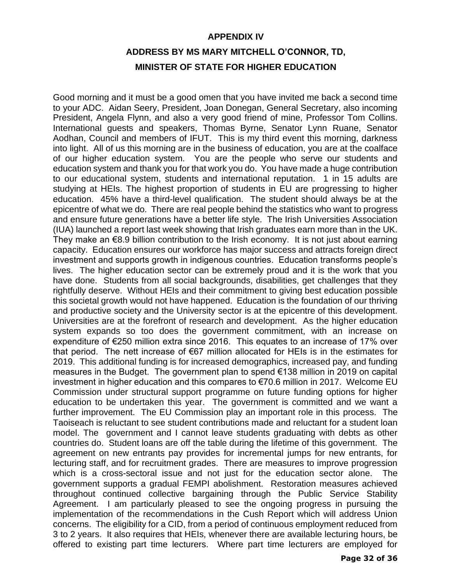## **APPENDIX IV**

## **ADDRESS BY MS MARY MITCHELL O'CONNOR, TD, MINISTER OF STATE FOR HIGHER EDUCATION**

Good morning and it must be a good omen that you have invited me back a second time to your ADC. Aidan Seery, President, Joan Donegan, General Secretary, also incoming President, Angela Flynn, and also a very good friend of mine, Professor Tom Collins. International guests and speakers, Thomas Byrne, Senator Lynn Ruane, Senator Aodhan, Council and members of IFUT. This is my third event this morning, darkness into light. All of us this morning are in the business of education, you are at the coalface of our higher education system. You are the people who serve our students and education system and thank you for that work you do. You have made a huge contribution to our educational system, students and international reputation. 1 in 15 adults are studying at HEIs. The highest proportion of students in EU are progressing to higher education. 45% have a third-level qualification. The student should always be at the epicentre of what we do. There are real people behind the statistics who want to progress and ensure future generations have a better life style. The Irish Universities Association (IUA) launched a report last week showing that Irish graduates earn more than in the UK. They make an  $\epsilon$ 8.9 billion contribution to the Irish economy. It is not just about earning capacity. Education ensures our workforce has major success and attracts foreign direct investment and supports growth in indigenous countries. Education transforms people's lives. The higher education sector can be extremely proud and it is the work that you have done. Students from all social backgrounds, disabilities, get challenges that they rightfully deserve. Without HEIs and their commitment to giving best education possible this societal growth would not have happened. Education is the foundation of our thriving and productive society and the University sector is at the epicentre of this development. Universities are at the forefront of research and development. As the higher education system expands so too does the government commitment, with an increase on expenditure of €250 million extra since 2016. This equates to an increase of 17% over that period. The nett increase of €67 million allocated for HEIs is in the estimates for 2019. This additional funding is for increased demographics, increased pay, and funding measures in the Budget. The government plan to spend €138 million in 2019 on capital investment in higher education and this compares to €70.6 million in 2017. Welcome EU Commission under structural support programme on future funding options for higher education to be undertaken this year. The government is committed and we want a further improvement. The EU Commission play an important role in this process. The Taoiseach is reluctant to see student contributions made and reluctant for a student loan model. The government and I cannot leave students graduating with debts as other countries do. Student loans are off the table during the lifetime of this government. The agreement on new entrants pay provides for incremental jumps for new entrants, for lecturing staff, and for recruitment grades. There are measures to improve progression which is a cross-sectoral issue and not just for the education sector alone. The government supports a gradual FEMPI abolishment. Restoration measures achieved throughout continued collective bargaining through the Public Service Stability Agreement. I am particularly pleased to see the ongoing progress in pursuing the implementation of the recommendations in the Cush Report which will address Union concerns. The eligibility for a CID, from a period of continuous employment reduced from 3 to 2 years. It also requires that HEIs, whenever there are available lecturing hours, be offered to existing part time lecturers. Where part time lecturers are employed for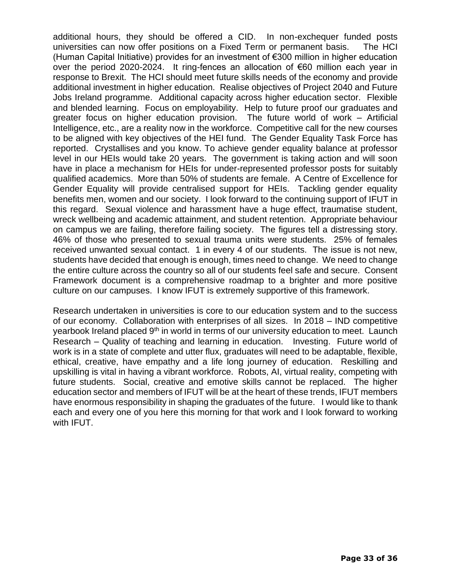additional hours, they should be offered a CID. In non-exchequer funded posts universities can now offer positions on a Fixed Term or permanent basis. The HCI (Human Capital Initiative) provides for an investment of €300 million in higher education over the period 2020-2024. It ring-fences an allocation of €60 million each year in response to Brexit. The HCI should meet future skills needs of the economy and provide additional investment in higher education. Realise objectives of Project 2040 and Future Jobs Ireland programme. Additional capacity across higher education sector. Flexible and blended learning. Focus on employability. Help to future proof our graduates and greater focus on higher education provision. The future world of work – Artificial Intelligence, etc., are a reality now in the workforce. Competitive call for the new courses to be aligned with key objectives of the HEI fund. The Gender Equality Task Force has reported. Crystallises and you know. To achieve gender equality balance at professor level in our HEIs would take 20 years. The government is taking action and will soon have in place a mechanism for HEIs for under-represented professor posts for suitably qualified academics. More than 50% of students are female. A Centre of Excellence for Gender Equality will provide centralised support for HEIs. Tackling gender equality benefits men, women and our society. I look forward to the continuing support of IFUT in this regard. Sexual violence and harassment have a huge effect, traumatise student, wreck wellbeing and academic attainment, and student retention. Appropriate behaviour on campus we are failing, therefore failing society. The figures tell a distressing story. 46% of those who presented to sexual trauma units were students. 25% of females received unwanted sexual contact. 1 in every 4 of our students. The issue is not new, students have decided that enough is enough, times need to change. We need to change the entire culture across the country so all of our students feel safe and secure. Consent Framework document is a comprehensive roadmap to a brighter and more positive culture on our campuses. I know IFUT is extremely supportive of this framework.

Research undertaken in universities is core to our education system and to the success of our economy. Collaboration with enterprises of all sizes. In 2018 – IND competitive yearbook Ireland placed 9<sup>th</sup> in world in terms of our university education to meet. Launch Research – Quality of teaching and learning in education. Investing. Future world of work is in a state of complete and utter flux, graduates will need to be adaptable, flexible, ethical, creative, have empathy and a life long journey of education. Reskilling and upskilling is vital in having a vibrant workforce. Robots, AI, virtual reality, competing with future students. Social, creative and emotive skills cannot be replaced. The higher education sector and members of IFUT will be at the heart of these trends, IFUT members have enormous responsibility in shaping the graduates of the future. I would like to thank each and every one of you here this morning for that work and I look forward to working with IFUT.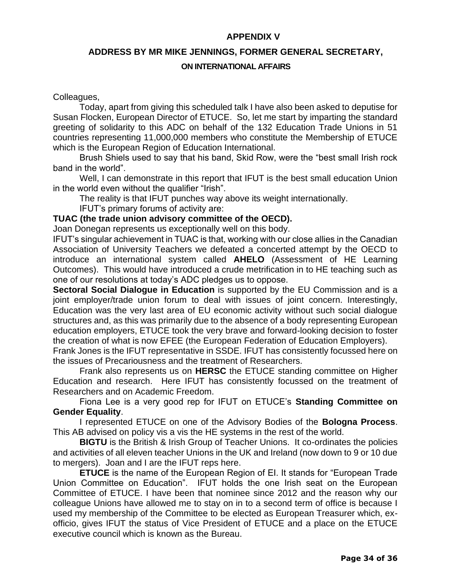## **APPENDIX V**

## **ADDRESS BY MR MIKE JENNINGS, FORMER GENERAL SECRETARY,**

## **ON INTERNATIONAL AFFAIRS**

## Colleagues,

Today, apart from giving this scheduled talk I have also been asked to deputise for Susan Flocken, European Director of ETUCE. So, let me start by imparting the standard greeting of solidarity to this ADC on behalf of the 132 Education Trade Unions in 51 countries representing 11,000,000 members who constitute the Membership of ETUCE which is the European Region of Education International.

Brush Shiels used to say that his band, Skid Row, were the "best small Irish rock band in the world".

Well, I can demonstrate in this report that IFUT is the best small education Union in the world even without the qualifier "Irish".

The reality is that IFUT punches way above its weight internationally.

IFUT's primary forums of activity are:

## **TUAC (the trade union advisory committee of the OECD).**

Joan Donegan represents us exceptionally well on this body.

IFUT's singular achievement in TUAC is that, working with our close allies in the Canadian Association of University Teachers we defeated a concerted attempt by the OECD to introduce an international system called **AHELO** (Assessment of HE Learning Outcomes). This would have introduced a crude metrification in to HE teaching such as one of our resolutions at today's ADC pledges us to oppose.

**Sectoral Social Dialogue in Education** is supported by the EU Commission and is a joint employer/trade union forum to deal with issues of joint concern. Interestingly, Education was the very last area of EU economic activity without such social dialogue structures and, as this was primarily due to the absence of a body representing European education employers, ETUCE took the very brave and forward-looking decision to foster the creation of what is now EFEE (the European Federation of Education Employers).

Frank Jones is the IFUT representative in SSDE. IFUT has consistently focussed here on the issues of Precariousness and the treatment of Researchers.

Frank also represents us on **HERSC** the ETUCE standing committee on Higher Education and research. Here IFUT has consistently focussed on the treatment of Researchers and on Academic Freedom.

Fiona Lee is a very good rep for IFUT on ETUCE's **Standing Committee on Gender Equality**.

I represented ETUCE on one of the Advisory Bodies of the **Bologna Process**. This AB advised on policy vis a vis the HE systems in the rest of the world.

**BIGTU** is the British & Irish Group of Teacher Unions. It co-ordinates the policies and activities of all eleven teacher Unions in the UK and Ireland (now down to 9 or 10 due to mergers). Joan and I are the IFUT reps here.

**ETUCE** is the name of the European Region of EI. It stands for "European Trade Union Committee on Education". IFUT holds the one Irish seat on the European Committee of ETUCE. I have been that nominee since 2012 and the reason why our colleague Unions have allowed me to stay on in to a second term of office is because I used my membership of the Committee to be elected as European Treasurer which, exofficio, gives IFUT the status of Vice President of ETUCE and a place on the ETUCE executive council which is known as the Bureau.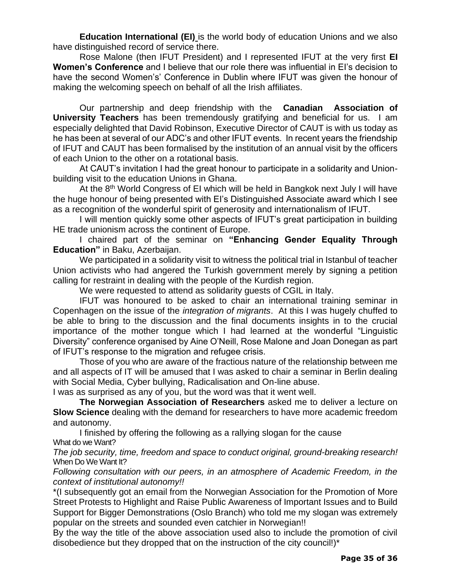**Education International (EI)** is the world body of education Unions and we also have distinguished record of service there.

Rose Malone (then IFUT President) and I represented IFUT at the very first **EI Women's Conference** and I believe that our role there was influential in EI's decision to have the second Women's' Conference in Dublin where IFUT was given the honour of making the welcoming speech on behalf of all the Irish affiliates.

Our partnership and deep friendship with the **Canadian Association of University Teachers** has been tremendously gratifying and beneficial for us. I am especially delighted that David Robinson, Executive Director of CAUT is with us today as he has been at several of our ADC's and other IFUT events. In recent years the friendship of IFUT and CAUT has been formalised by the institution of an annual visit by the officers of each Union to the other on a rotational basis.

At CAUT's invitation I had the great honour to participate in a solidarity and Unionbuilding visit to the education Unions in Ghana.

At the 8<sup>th</sup> World Congress of EI which will be held in Bangkok next July I will have the huge honour of being presented with EI's Distinguished Associate award which I see as a recognition of the wonderful spirit of generosity and internationalism of IFUT.

I will mention quickly some other aspects of IFUT's great participation in building HE trade unionism across the continent of Europe.

I chaired part of the seminar on **"Enhancing Gender Equality Through Education"** in Baku, Azerbaijan.

We participated in a solidarity visit to witness the political trial in Istanbul of teacher Union activists who had angered the Turkish government merely by signing a petition calling for restraint in dealing with the people of the Kurdish region.

We were requested to attend as solidarity guests of CGIL in Italy.

IFUT was honoured to be asked to chair an international training seminar in Copenhagen on the issue of the *integration of migrants*. At this I was hugely chuffed to be able to bring to the discussion and the final documents insights in to the crucial importance of the mother tongue which I had learned at the wonderful "Linguistic Diversity" conference organised by Aine O'Neill, Rose Malone and Joan Donegan as part of IFUT's response to the migration and refugee crisis.

Those of you who are aware of the fractious nature of the relationship between me and all aspects of IT will be amused that I was asked to chair a seminar in Berlin dealing with Social Media, Cyber bullying, Radicalisation and On-line abuse.

I was as surprised as any of you, but the word was that it went well.

**The Norwegian Association of Researchers** asked me to deliver a lecture on **Slow Science** dealing with the demand for researchers to have more academic freedom and autonomy.

I finished by offering the following as a rallying slogan for the cause What do we Want?

*The job security, time, freedom and space to conduct original, ground-breaking research!* When Do We Want It?

*Following consultation with our peers, in an atmosphere of Academic Freedom, in the context of institutional autonomy!!*

\*(I subsequently got an email from the Norwegian Association for the Promotion of More Street Protests to Highlight and Raise Public Awareness of Important Issues and to Build Support for Bigger Demonstrations (Oslo Branch) who told me my slogan was extremely popular on the streets and sounded even catchier in Norwegian!!

By the way the title of the above association used also to include the promotion of civil disobedience but they dropped that on the instruction of the city council!)\*